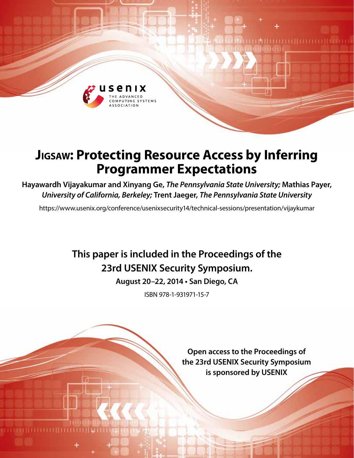

# **Jigsaw: Protecting Resource Access by Inferring Programmer Expectations**

**Hayawardh Vijayakumar and Xinyang Ge,** *The Pennsylvania State University;* **Mathias Payer,**  *University of California, Berkeley;* **Trent Jaeger,** *The Pennsylvania State University*

https://www.usenix.org/conference/usenixsecurity14/technical-sessions/presentation/vijaykumar

## **This paper is included in the Proceedings of the 23rd USENIX Security Symposium.**

**August 20–22, 2014 • San Diego, CA**

ISBN 978-1-931971-15-7

**Open access to the Proceedings of the 23rd USENIX Security Symposium is sponsored by USENIX**

**TUTTI II LITTI**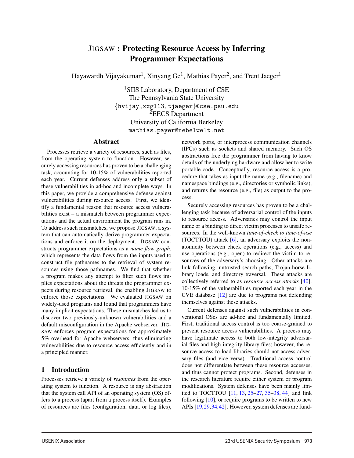## JIGSAW : Protecting Resource Access by Inferring Programmer Expectations

Hayawardh Vijayakumar<sup>1</sup>, Xinyang Ge<sup>1</sup>, Mathias Payer<sup>2</sup>, and Trent Jaeger<sup>1</sup>

<sup>1</sup>SIIS Laboratory, Department of CSE The Pennsylvania State University {hvijay,xxg113,tjaeger}@cse.psu.edu <sup>2</sup>EECS Department University of California Berkeley mathias.payer@nebelwelt.net

#### Abstract

Processes retrieve a variety of resources, such as files, from the operating system to function. However, securely accessing resources has proven to be a challenging task, accounting for 10-15% of vulnerabilities reported each year. Current defenses address only a subset of these vulnerabilities in ad-hoc and incomplete ways. In this paper, we provide a comprehensive defense against vulnerabilities during resource access. First, we identify a fundamental reason that resource access vulnerabilities exist – a mismatch between programmer expectations and the actual environment the program runs in. To address such mismatches, we propose JIGSAW, a system that can automatically derive programmer expectations and enforce it on the deployment. JIGSAW constructs programmer expectations as a *name flow graph*, which represents the data flows from the inputs used to construct file pathnames to the retrieval of system resources using those pathnames. We find that whether a program makes any attempt to filter such flows implies expectations about the threats the programmer expects during resource retrieval, the enabling JIGSAW to enforce those expectations. We evaluated JIGSAW on widely-used programs and found that programmers have many implicit expectations. These mismatches led us to discover two previously-unknown vulnerabilities and a default misconfiguration in the Apache webserver. JIG-SAW enforces program expectations for approximately 5% overhead for Apache webservers, thus eliminating vulnerabilities due to resource access efficiently and in a principled manner.

## 1 Introduction

Processes retrieve a variety of *resources* from the operating system to function. A resource is any abstraction that the system call API of an operating system (OS) offers to a process (apart from a process itself). Examples of resources are files (configuration, data, or log files), network ports, or interprocess communication channels (IPCs) such as sockets and shared memory. Such OS abstractions free the programmer from having to know details of the underlying hardware and allow her to write portable code. Conceptually, resource access is a procedure that takes as input the name (e.g., filename) and namespace bindings (e.g., directories or symbolic links), and returns the resource (e.g., file) as output to the process.

Securely accessing resources has proven to be a challenging task because of adversarial control of the inputs to resource access. Adversaries may control the input name or a binding to direct victim processes to unsafe resources. In the well-known *time-of-check to time-of-use* (TOCTTOU) attack  $[6]$ , an adversary exploits the nonatomicity between check operations (e.g., access) and use operations (e.g., open) to redirect the victim to resources of the adversary's choosing. Other attacks are link following, untrusted search paths, Trojan-horse library loads, and directory traversal. These attacks are collectively referred to as *resource access attacks* [40]. 10-15% of the vulnerabilities reported each year in the CVE database [12] are due to programs not defending themselves against these attacks.

Current defenses against such vulnerabilities in conventional OSes are ad-hoc and fundamentally limited. First, traditional access control is too coarse-grained to prevent resource access vulnerabilities. A process may have legitimate access to both low-integrity adversarial files and high-integrity library files; however, the resource access to load libraries should not access adversary files (and vice versa). Traditional access control does not differentiate between these resource accesses, and thus cannot protect programs. Second, defenses in the research literature require either system or program modifications. System defenses have been mainly limited to TOCTTOU [11, 13, 25–27, 35–38, 44] and link following  $[10]$ , or require programs to be written to new APIs [19,29,34,42]. However, system defenses are fund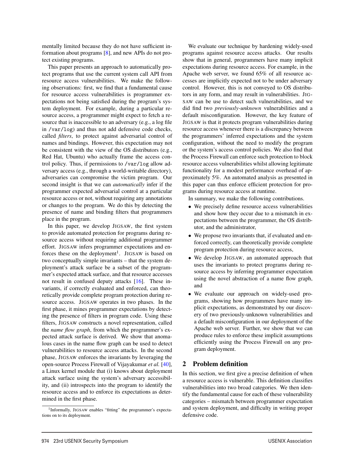mentally limited because they do not have sufficient information about programs [8], and new APIs do not protect existing programs.

This paper presents an approach to automatically protect programs that use the current system call API from resource access vulnerabilities. We make the following observations: first, we find that a fundamental cause for resource access vulnerabilities is programmer expectations not being satisfied during the program's system deployment. For example, during a particular resource access, a programmer might expect to fetch a resource that is inaccessible to an adversary (e.g., a log file in /var/log) and thus not add defensive code checks, called *filters*, to protect against adversarial control of names and bindings. However, this expectation may not be consistent with the view of the OS distributors (e.g., Red Hat, Ubuntu) who actually frame the access control policy. Thus, if permissions to /var/log allow adversary access (e.g., through a world-writable directory), adversaries can compromise the victim program. Our second insight is that we can *automatically* infer if the programmer expected adversarial control at a particular resource access or not, without requiring any annotations or changes to the program. We do this by detecting the presence of name and binding filters that programmers place in the program.

In this paper, we develop JIGSAW, the first system to provide automated protection for programs during resource access without requiring additional programmer effort. JIGSAW infers programmer expectations and enforces these on the deployment<sup>1</sup>. JIGSAW is based on two conceptually simple invariants – that the system deployment's attack surface be a subset of the programmer's expected attack surface, and that resource accesses not result in confused deputy attacks [16]. These invariants, if correctly evaluated and enforced, can theoretically provide complete program protection during resource access. JIGSAW operates in two phases. In the first phase, it mines programmer expectations by detecting the presence of filters in program code. Using these filters, JIGSAW constructs a novel representation, called the *name flow graph*, from which the programmer's expected attack surface is derived. We show that anomalous cases in the name flow graph can be used to detect vulnerabilities to resource access attacks. In the second phase, JIGSAW enforces the invariants by leveraging the open-source Process Firewall of Vijayakumar *et al.* [40], a Linux kernel module that (i) knows about deployment attack surface using the system's adversary accessibility, and (ii) introspects into the program to identify the resource access and to enforce its expectations as determined in the first phase.

We evaluate our technique by hardening widely-used programs against resource access attacks. Our results show that in general, programmers have many implicit expectations during resource access. For example, in the Apache web server, we found 65% of all resource accesses are implicitly expected not to be under adversary control. However, this is not conveyed to OS distributors in any form, and may result in vulnerabilities. JIG-SAW can be use to detect such vulnerabilities, and we did find two *previously-unknown* vulnerabilities and a default misconfiguration. However, the key feature of JIGSAW is that it protects program vulnerabilities during resource access whenever there is a discrepancy between the programmers' inferred expectations and the system configuration, without the need to modify the program or the system's access control policies. We also find that the Process Firewall can enforce such protection to block resource access vulnerabilities whilst allowing legitimate functionality for a modest performance overhead of approximately 5%. An automated analysis as presented in this paper can thus enforce efficient protection for programs during resource access at runtime.

In summary, we make the following contributions.

- We precisely define resource access vulnerabilities and show how they occur due to a mismatch in expectations between the programmer, the OS distributor, and the administrator,
- We propose two invariants that, if evaluated and enforced correctly, can theoretically provide complete program protection during resource access,
- We develop JIGSAW, an automated approach that uses the invariants to protect programs during resource access by inferring programmer expectation using the novel abstraction of a name flow graph, and
- We evaluate our approach on widely-used programs, showing how programmers have many implicit expectations, as demonstrated by our discovery of two previously-unknown vulnerabilities and a default misconfiguration in our deployment of the Apache web server. Further, we show that we can produce rules to enforce these implicit assumptions efficiently using the Process Firewall on any program deployment.

## 2 Problem definition

In this section, we first give a precise definition of when a resource access is vulnerable. This definition classifies vulnerabilities into two broad categories. We then identify the fundamental cause for each of these vulnerability categories – mismatch between programmer expectation and system deployment, and difficulty in writing proper defensive code.

<sup>&</sup>lt;sup>1</sup>Informally, JIGSAW enables "fitting" the programmer's expectations on to its deployment.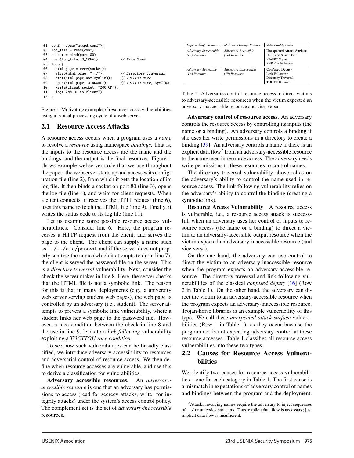```
01 conf = open("httpd.conf");
02 log_file = read(conf);
03 socket = bind(port 80);
04 open(log_file, O_CREAT); // File Squat
05 \log {<br>06 \frac{1}{10}06 html_page = recv(sockets);<br>07 strip(html page. "../"):
       strip(html_page, "../"); // Directory Traversal<br>stat(html_page not symlink); // TOCTTOU Race
08 stat(html_page not symlink); // TOCTTOU Race<br>09 open(html_page, O_RDONLY); // TOCTTOU Race, Symlink
09 open(html_page, O_RDONLY);
10 write(client_socket, "200 OK");
11 log("200 OK to client")
12 }
```
Figure 1: Motivating example of resource access vulnerabilities using a typical processing cycle of a web server.

#### 2.1 Resource Access Attacks

A resource access occurs when a program uses a *name* to resolve a *resource* using namespace *bindings*. That is, the inputs to the resource access are the name and the bindings, and the output is the final resource. Figure 1 shows example webserver code that we use throughout the paper: the webserver starts up and accesses its configuration file (line 2), from which it gets the location of its log file. It then binds a socket on port 80 (line 3), opens the log file (line 4), and waits for client requests. When a client connects, it receives the HTTP request (line 6), uses this name to fetch the HTML file (line 9). Finally, it writes the status code to its log file (line 11).

Let us examine some possible resource access vulnerabilities. Consider line 6. Here, the program receives a HTTP request from the client, and serves the page to the client. The client can supply a name such as ../../etc/passwd, and if the server does not properly sanitize the name (which it attempts to do in line 7), the client is served the password file on the server. This is a *directory traversal* vulnerability. Next, consider the check the server makes in line 8. Here, the server checks that the HTML file is not a symbolic link. The reason for this is that in many deployments (e.g., a university web server serving student web pages), the web page is controlled by an adversary (i.e., student). The server attempts to prevent a symbolic link vulnerability, where a student links her web page to the password file. However, a race condition between the check in line 8 and the use in line 9, leads to a *link following* vulnerability exploiting a *TOCTTOU race condition*.

To see how such vulnerabilities can be broadly classified, we introduce adversary accessibility to resources and adversarial control of resource access. We then define when resource accesses are vulnerable, and use this to derive a classification for vulnerabilities.

Adversary accessible resources. An *adversaryaccessible resource* is one that an adversary has permissions to access (read for secrecy attacks, write for integrity attacks) under the system's access control policy. The complement set is the set of *adversary-inaccessible* resources.

| <b>Expected/Safe Resource</b>           | Malicious/Unsafe Resource               | Vulnerability Class                                                                                      |
|-----------------------------------------|-----------------------------------------|----------------------------------------------------------------------------------------------------------|
| Adversary-Inaccessible<br>(Hi) Resource | Adversary-Accessible<br>$(Lo)$ Resource | <b>Unexpected Attack Surface</b><br><b>Untrusted Search Path</b><br>File/IPC Squat<br>PHP File Inclusion |
| Adversary-Accessible<br>$(Lo)$ Resource | Adversary-Inaccessible<br>(Hi) Resource | <b>Confused Deputy</b><br>Link Following<br><b>Directory Traversal</b><br><b>TOCTTOU</b> races           |

Table 1: Adversaries control resource access to direct victims to adversary-accessible resources when the victim expected an adversary inaccessible resource and vice-versa.

Adversary control of resource access. An adversary controls the resource access by controlling its inputs (the name or a binding). An adversary controls a binding if she uses her write permissions in a directory to create a binding [39]. An adversary controls a name if there is an explicit data flow<sup>2</sup> from an adversary-accessible resource to the name used in resource access. The adversary needs write permissions to these resources to control names.

The directory traversal vulnerability above relies on the adversary's ability to control the name used in resource access. The link following vulnerability relies on the adversary's ability to control the binding (creating a symbolic link).

Resource Access Vulnerability. A resource access is vulnerable, i.e., a resource access attack is successful, when an adversary uses her control of inputs to resource access (the name or a binding) to direct a victim to an adversary-accessible output resource when the victim expected an adversary-inaccessible resource (and vice versa).

On the one hand, the adversary can use control to direct the victim to an adversary-inaccessible resource when the program expects an adversary-accessible resource. The directory traversal and link following vulnerabilities of the classical *confused deputy* [16] (Row 2 in Table 1). On the other hand, the adversary can direct the victim to an adversary-accessible resource when the program expects an adversary-inaccessible resource. Trojan-horse libraries is an example vulnerability of this type. We call these *unexpected attack surface* vulnerabilities (Row 1 in Table 1), as they occur because the programmer is not expecting adversary control at these resource accesses. Table 1 classifies all resource access vulnerabilities into these two types.

## 2.2 Causes for Resource Access Vulnerabilities

We identify two causes for resource access vulnerabilities – one for each category in Table 1. The first cause is a mismatch in expectations of adversary control of names and bindings between the program and the deployment.

<sup>2</sup>Attacks involving names require the adversary to inject sequences of ../ or unicode characters. Thus, explicit data flow is necessary; just implicit data flow is insufficient.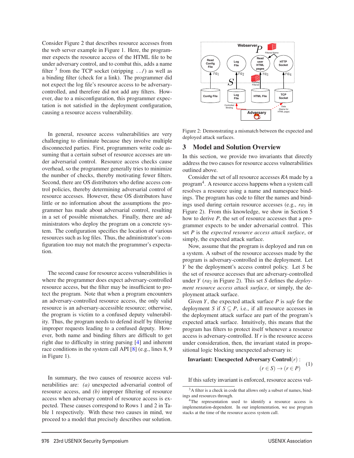Consider Figure 2 that describes resource accesses from the web server example in Figure 1. Here, the programmer expects the resource access of the HTML file to be under adversary control, and to combat this, adds a name filter  $3$  from the TCP socket (stripping ...) as well as a binding filter (check for a link). The programmer did not expect the log file's resource access to be adversarycontrolled, and therefore did not add any filters. However, due to a misconfiguration, this programmer expectation is not satisfied in the deployment configuration, causing a resource access vulnerability.

In general, resource access vulnerabilities are very challenging to eliminate because they involve multiple disconnected parties. First, programmers write code assuming that a certain subset of resource accesses are under adversarial control. Resource access checks cause overhead, so the programmer generally tries to minimize the number of checks, thereby motivating fewer filters. Second, there are OS distributors who define access control policies, thereby determining adversarial control of resource accesses. However, these OS distributors have little or no information about the assumptions the programmer has made about adversarial control, resulting in a set of possible mismatches. Finally, there are administrators who deploy the program on a concrete system. The configuration specifies the location of various resources such as log files. Thus, the administrator's configuration too may not match the programmer's expectation.

The second cause for resource access vulnerabilities is where the programmer does expect adversary-controlled resource access, but the filter may be insufficient to protect the program. Note that when a program encounters an adversary-controlled resource access, the only valid resource is an adversary-accessible resource; otherwise, the program is victim to a confused deputy vulnerability. Thus, the program needs to defend itself by filtering improper requests leading to a confused deputy. However, both name and binding filters are difficult to get right due to difficulty in string parsing [4] and inherent race conditions in the system call API [8] (e.g., lines 8, 9 in Figure 1).

In summary, the two causes of resource access vulnerabilities are: *(a)* unexpected adversarial control of resource access, and *(b)* improper filtering of resource access when adversary control of resource access is expected. These causes correspond to Rows 1 and 2 in Table 1 respectively. With these two causes in mind, we proceed to a model that precisely describes our solution.



Figure 2: Demonstrating a mismatch between the expected and deployed attack surfaces.

#### 3 Model and Solution Overview

In this section, we provide two invariants that directly address the two causes for resource access vulnerabilities outlined above.

Consider the set of all resource accesses *RA* made by a program<sup>4</sup>. A resource access happens when a system call resolves a resource using a name and namespace bindings. The program has code to filter the names and bindings used during certain resource accesses (e.g.,  $ra_3$  in Figure 2). From this knowledge, we show in Section 5 how to derive *P*, the set of resource accesses that a programmer expects to be under adversarial control. This set *P* is the *expected resource access attack surface*, or simply, the expected attack surface.

Now, assume that the program is deployed and run on a system. A subset of the resource accesses made by the program is adversary-controlled in the deployment. Let *Y* be the deployment's access control policy. Let *S* be the set of resource accesses that are adversary-controlled under *Y* (*ra*<sub>2</sub> in Figure 2). This set *S* defines the *deployment resource access attack surface*, or simply, the deployment attack surface.

Given *Y*, the expected attack surface *P* is *safe* for the deployment *S* if  $S \subseteq P$ , i.e., if all resource accesses in the deployment attack surface are part of the program's expected attack surface. Intuitively, this means that the program has filters to protect itself whenever a resource access is adversary-controlled. If *r* is the resource access under consideration, then, the invariant stated in propositional logic blocking unexpected adversary is:

## Invariant: Unexpected Adversary Control(*r*) :  $(r \in S) \rightarrow (r \in P)$ <sup>(1)</sup>)

If this safety invariant is enforced, resource access vul-

<sup>&</sup>lt;sup>3</sup>A filter is a check in code that allows only a subset of names, bindings and resources through.

<sup>&</sup>lt;sup>4</sup>The representation used to identify a resource access is implementation-dependent. In our implementation, we use program stacks at the time of the resource access system call.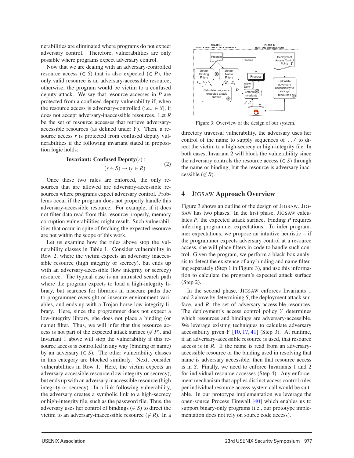nerabilities are eliminated where programs do not expect adversary control. Therefore, vulnerabilities are only possible where programs expect adversary control.

Now that we are dealing with an adversary-controlled resource access ( $\in S$ ) that is also expected ( $\in P$ ), the only valid resource is an adversary-accessible resource; otherwise, the program would be victim to a confused deputy attack. We say that resource accesses in *P* are protected from a confused deputy vulnerability if, when the resource access is adversary-controlled (i.e.,  $\in S$ ), it does not accept adversary-inaccessible resources. Let *R* be the set of resource accesses that retrieve adversaryaccessible resources (as defined under *Y*). Then, a resource access *r* is protected from confused deputy vulnerabilities if the following invariant stated in proposition logic holds:

**Invariant: Confused Deputy**(*r*) :  
\n(
$$
r \in S
$$
)  $\rightarrow$  ( $r \in R$ ) (2)

Once these two rules are enforced, the only resources that are allowed are adversary-accessible resources where programs expect adversary control. Problems occur if the program does not properly handle this adversary-accessible resource. For example, if it does not filter data read from this resource properly, memory corruption vulnerabilities might result. Such vulnerabilities that occur in spite of fetching the expected resource are not within the scope of this work.

Let us examine how the rules above stop the vulnerability classes in Table 1. Consider vulnerability in Row 2, where the victim expects an adversary inaccessible resource (high integrity or secrecy), but ends up with an adversary-accessible (low integrity or secrecy) resource. The typical case is an untrusted search path where the program expects to load a high-integrity library, but searches for libraries in insecure paths due to programmer oversight or insecure environment variables, and ends up with a Trojan horse low-integrity library. Here, since the programmer does not expect a low-integrity library, she does not place a binding (or name) filter. Thus, we will infer that this resource access is not part of the expected attack surface ( $\notin P$ ), and Invariant 1 above will stop the vulnerability if this resource access is controlled in any way (binding or name) by an adversary  $( \in S)$ . The other vulnerability classes in this category are blocked similarly. Next, consider vulnerabilities in Row 1. Here, the victim expects an adversary-accessible resource (low integrity or secrecy), but ends up with an adversary inaccessible resource (high integrity or secrecy). In a link following vulnerability, the adversary creates a symbolic link to a high-secrecy or high-integrity file, such as the password file. Thus, the adversary uses her control of bindings ( $\in S$ ) to direct the victim to an adversary-inaccessible resource ( $\notin R$ ). In a



Figure 3: Overview of the design of our system.

directory traversal vulnerability, the adversary uses her control of the name to supply sequences of ../ to direct the victim to a high-secrecy or high-integrity file. In both cases, Invariant 2 will block the vulnerability since the adversary controls the resource access  $(\in S)$  through the name or binding, but the resource is adversary inaccessible ( $\not\in$  *R*).

#### 4 JIGSAW Approach Overview

Figure 3 shows an outline of the design of JIGSAW. JIG-SAW has two phases. In the first phase, JIGSAW calculates *P*, the expected attack surface. Finding *P* requires inferring programmer expectations. To infer programmer expectations, we propose an intuitive heuristic – if the programmer expects adversary control at a resource access, she will place filters in code to handle such control. Given the program, we perform a black-box analysis to detect the existence of any binding and name filtering separately (Step 1 in Figure 3), and use this information to calculate the program's expected attack surface (Step 2).

In the second phase, JIGSAW enforces Invariants 1 and 2 above by determining *S*, the deployment attack surface, and *R*, the set of adversary-accessible resources. The deployment's access control policy *Y* determines which resources and bindings are adversary-accessible. We leverage existing techniques to calculate adversary accessibility given *Y* [10, 17, 41] (Step 3). At runtime, if an adversary-accessible resource is used, that resource access is in *R*. If the name is read from an adversaryaccessible resource or the binding used in resolving that name is adversary accessible, then that resource access is in *S*. Finally, we need to enforce Invariants 1 and 2 for individual resource accesses (Step 4). Any enforcement mechanism that applies distinct access control rules per individual resource access system call would be suitable. In our prototype implementation we leverage the open-source Process Firewall [40] which enables us to support binary-only programs (i.e., our prototype implementation does not rely on source code access).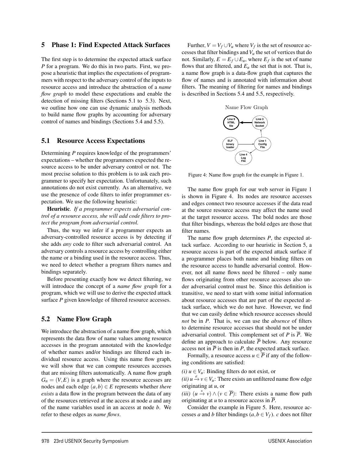#### 5 Phase 1: Find Expected Attack Surfaces

The first step is to determine the expected attack surface *P* for a program. We do this in two parts. First, we propose a heuristic that implies the expectations of programmers with respect to the adversary control of the inputs to resource access and introduce the abstraction of a *name flow graph* to model these expectations and enable the detection of missing filters (Sections 5.1 to 5.3). Next, we outline how one can use dynamic analysis methods to build name flow graphs by accounting for adversary control of names and bindings (Sections 5.4 and 5.5).

#### 5.1 Resource Access Expectations

Determining *P* requires knowledge of the programmers' expectations – whether the programmers expected the resource access to be under adversary control or not. The most precise solution to this problem is to ask each programmer to specify her expectation. Unfortunately, such annotations do not exist currently. As an alternative, we use the presence of code filters to infer programmer expectation. We use the following heuristic:

Heuristic. *If a programmer expects adversarial control of a resource access, she will add code filters to protect the program from adversarial control.*

Thus, the way we infer if a programmer expects an adversary-controlled resource access is by detecting if she adds *any* code to filter such adversarial control. An adversary controls a resource access by controlling either the name or a binding used in the resource access. Thus, we need to detect whether a program filters names and bindings separately.

Before presenting exactly how we detect filtering, we will introduce the concept of a *name flow graph* for a program, which we will use to derive the expected attack surface *P* given knowledge of filtered resource accesses.

#### 5.2 Name Flow Graph

We introduce the abstraction of a name flow graph, which represents the data flow of name values among resource accesses in the program annotated with the knowledge of whether names and/or bindings are filtered each individual resource access. Using this name flow graph, we will show that we can compute resources accesses that are missing filters automatically. A name flow graph  $G_n = (V, E)$  is a graph where the resource accesses are nodes and each edge  $(a,b) \in E$  represents whether *there exists* a data flow in the program between the data of any of the resources retrieved at the access at node *a* and any of the name variables used in an access at node *b*. We refer to these edges as *name flows*.

Further,  $V = V_f \cup V_u$  where  $V_f$  is the set of resource accesses that filter bindings and*Vu* the set of vertices that do not. Similarly,  $E = E_f \cup E_u$ , where  $E_f$  is the set of name flows that are filtered, and  $E_u$  the set that is not. That is, a name flow graph is a data-flow graph that captures the flow of names and is annotated with information about filters. The meaning of filtering for names and bindings is described in Sections 5.4 and 5.5, respectively.



Figure 4: Name flow graph for the example in Figure 1.

The name flow graph for our web server in Figure 1 is shown in Figure 4. Its nodes are resource accesses and edges connect two resource accesses if the data read at the source resource access may affect the name used at the target resource access. The bold nodes are those that filter bindings, whereas the bold edges are those that filter names.

The name flow graph determines *P*, the expected attack surface. According to our heuristic in Section 5, a resource access is part of the expected attack surface if a programmer places both name and binding filters on the resource access to handle adversarial control. However, not all name flows need be filtered – only name flows originating from other resource accesses also under adversarial control must be. Since this definition is transitive, we need to start with some initial information about resource accesses that are part of the expected attack surface, which we do not have. However, we find that we can easily define which resource accesses should *not* be in *P*. That is, we can use the *absence* of filters to determine resource accesses that should not be under adversarial control. This complement set of  $P$  is  $\overline{P}$ . We define an approach to calculate  $\overline{P}$  below. Any resource access not in  $\overline{P}$  is then in *P*, the expected attack surface.

Formally, a resource access  $u \in \overline{P}$  if any of the following conditions are satisfied:

 $(i)$   $u \in V_u$ : Binding filters do not exist, or

 $(iii) u \xrightarrow{e} v \in V_u$ : There exists an unfiltered name flow edge originating at *u*, or

(*iii*)  $(u \stackrel{*}{\rightarrow} v) \land (v \in \overline{P})$ : There exists a name flow path originating at  $u$  to a resource access in  $\overline{P}$ .

Consider the example in Figure 5. Here, resource accesses *a* and *b* filter bindings  $(a, b \in V_f)$ . *c* does not filter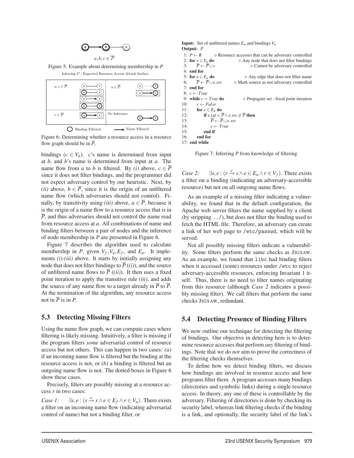

Figure 5: Example about determining membership in *P* Inferring P - Expected Resource Access Attack Surface



Figure 6: Determining whether a resource access in a resource flow graph should be in  $\overline{P}$ .

bindings  $(c \in V_u)$ . *c*'s name is determined from input at *b*, and *b*'s name is determined from input at *a*. The name flow from *a* to *b* is filtered. By *(i)* above,  $c \in \overline{P}$ since it does not filter bindings, and the programmer did not expect adversary control by our heuristic. Next, by *(ii)* above,  $b \in \overline{P}$ , since it is the origin of an unfiltered name flow (which adversaries should not control). Finally, by transitivity using *(iii)* above,  $a \in \overline{P}$ , because it is the origin of a name flow to a resource access that is in *P*, and thus adversaries should not control the name read from resource access at *a*. All combinations of name and binding filters between a pair of nodes and the inference of node membership in *P* are presented in Figure 6.

Figure 7 describes the algorithm used to calculate membership in *P*, given  $V_f$ ,  $V_u$ ,  $E_f$ , and  $E_u$ . It implements *(i)-(iii)* above. It starts by initially assigning any node that does not filter bindings to  $\overline{P}$  (*(i)*), and the source of unfiltered name flows to  $\overline{P}$  (*(ii)*). It then uses a fixed point iteration to apply the transitive rule *(iii)*, and adds the source of any name flow to a target already in  $\overline{P}$  to  $\overline{P}$ . At the termination of the algorithm, any resource access not in  $\overline{P}$  is in *P*.

## 5.3 Detecting Missing Filters

Using the name flow graph, we can compute cases where filtering is likely missing. Intuitively, a filter is missing if the program filters *some* adversarial control of resource access but not others. This can happen in two cases: *(a)* if an incoming name flow is filtered but the binding at the resource access is not, or *(b)* a binding is filtered but an outgoing name flow is not. The dotted boxes in Figure 6 show these cases.

Precisely, filters are possibly missing at a resource access *r* in two cases:

*Case 1:*  $\exists s, e : (s \stackrel{e}{\to} r \land e \in E_f \land r \in V_u)$ . There exists a filter on an incoming name flow (indicating adversarial control of name) but not a binding filter, or

Input: Set of unfiltered names *Eu* and bindings *Vu* Output: *P* 1: *P* ←  $\emptyset$  **D** Resource accesses that can be adversary controlled 2: **for**  $v \in V_u$  **do**  $\triangleright$  Any node that does not filter bindings 2: for  $v \in V_u$  do  $\Rightarrow$  Any node that does not filter bindings<br>3:  $\overline{P} \leftarrow \overline{P} \cup v$   $\Rightarrow$  Cannot be adversary controlled 3: *P* ← *P*∪*v* Cannot be adversary controlled 4: end for 5: **for**  $e \in E_u$  **do**  $\triangleright$  Any edge that does not filter name<br>6:  $\overline{P} \leftarrow \overline{P} \cup e.src$   $\triangleright$  Mark source as not adversary controlled **⊳ Mark source as not adversary controlled** 7: end for 8:  $c \leftarrow True$ <br>9: **while**  $c = True$  **do** 9: **while**  $c = True$  **do**  $\triangleright$  Propagate set - fixed point iteration 10:  $c \leftarrow False$ 10:  $c \leftarrow False$ <br>11: **for**  $e \in E_n$ 11: **for**  $e \in E_u$  **do**<br>12: **if**  $e$  tot  $\in$ 12: **if**  $e.tgt \in \overline{P} \land e.src \notin \overline{P}$  then<br>13:  $\overline{P} \leftarrow \overline{P} \cup e.src$ 13:  $\overline{P} \leftarrow \overline{P} \cup e.src$ <br>14·  $c \leftarrow True$ 14:  $c \leftarrow True$ <br>15: **end if** end if 16: end for 17: end while

Figure 7: Inferring *P* from knowledge of filtering

*Case 2:*  $\exists s, e : (r \stackrel{e}{\to} s \land e \in E_u \land r \in V_f)$ . There exists a filter on a binding (indicating an adversary-accessible resource) but not on all outgoing name flows.

As an example of a missing filter indicating a vulnerability, we found that in the default configuration, the Apache web server filters the name supplied by a client (by stripping ../), but does not filter the binding used to fetch the HTML file. Therefore, an adversary can create a link of her web page to /etc/passwd, which will be served.

Not all possibly missing filters indicate a vulnerability. Some filters perform the same checks as JIGSAW. As an example, we found that libc had binding filters when it accessed (some) resources under /etc to reject adversary-accessible resources, enforcing Invariant 1 itself. Thus, there is no need to filter names originating from this resource (although *Case 2* indicates a possibly missing filter). We call filters that perform the same checks JIGSAW, redundant.

## 5.4 Detecting Presence of Binding Filters

We now outline our technique for detecting the filtering of bindings. Our objective in detecting here is to determine resource accesses that perform *any* filtering of bindings. Note that we do *not* aim to prove the correctness of the filtering checks themselves.

To define how we detect binding filters, we discuss how bindings are involved in resource access and how programs filter them. A program accesses many bindings (directories and symbolic links) during a single resource access. In theory, any one of these is controllable by the adversary. Filtering of directories is done by checking its security label, whereas link filtering checks if the binding is a link, and optionally, the security label of the link's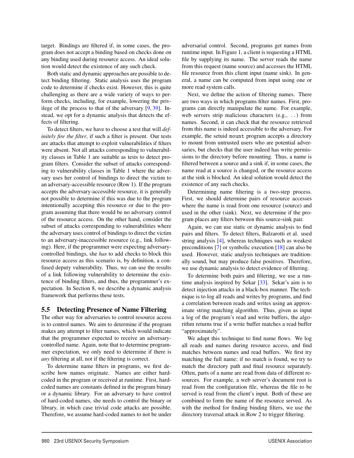target. Bindings are filtered if, in some cases, the program does not accept a binding based on checks done on any binding used during resource access. An ideal solution would detect the existence of any such check.

Both static and dynamic approaches are possible to detect binding filtering. Static analysis uses the program code to determine if checks exist. However, this is quite challenging as there are a wide variety of ways to perform checks, including, for example, lowering the privilege of the process to that of the adversary [9, 39]. Instead, we opt for a dynamic analysis that detects the effects of filtering.

To detect filters, we have to choose a test that will *definitely fire the filter*, if such a filter is present. Our tests are attacks that attempt to exploit vulnerabilities if filters were absent. Not all attacks corresponding to vulnerability classes in Table 1 are suitable as tests to detect program filters. Consider the subset of attacks corresponding to vulnerability classes in Table 1 where the adversary uses her control of bindings to direct the victim to an adversary-accessible resource (Row 1). If the program accepts the adversary-accessible resource, it is generally not possible to determine if this was due to the program intentionally accepting this resource or due to the program assuming that there would be no adversary control of the resource access. On the other hand, consider the subset of attacks corresponding to vulnerabilities where the adversary uses control of bindings to direct the victim to an adversary-inaccessible resource (e.g., link following). Here, if the programmer were expecting adversarycontrolled bindings, she *has* to add checks to block this resource access as this scenario is, by definition, a confused deputy vulnerability. Thus, we can use the results of a link following vulnerability to determine the existence of binding filters, and thus, the programmer's expectation. In Section 8, we describe a dynamic analysis framework that performs these tests.

## 5.5 Detecting Presence of Name Filtering

The other way for adversaries to control resource access is to control names. We aim to determine if the program makes any attempt to filter names, which would indicate that the programmer expected to receive an adversarycontrolled name. Again, note that to determine programmer expectation, we only need to determine if there is *any* filtering at all, not if the filtering is correct.

To determine name filters in programs, we first describe how names originate. Names are either hardcoded in the program or received at runtime. First, hardcoded names are constants defined in the program binary or a dynamic library. For an adversary to have control of hard-coded names, she needs to control the binary or library, in which case trivial code attacks are possible. Therefore, we assume hard-coded names to not be under adversarial control. Second, programs get names from runtime input. In Figure 1, a client is requesting a HTML file by supplying its name. The server reads the name from this request (name source) and accesses the HTML file resource from this client input (name sink). In general, a name can be computed from input using one or more read system calls.

Next, we define the action of filtering names. There are two ways in which programs filter names. First, programs can directly manipulate the name. For example, web servers strip malicious characters (e.g., ..) from names. Second, it can check that the resource retrieved from this name is indeed accessible to the adversary. For example, the setuid mount program accepts a directory to mount from untrusted users who are potential adversaries, but checks that the user indeed has write permissions to the directory before mounting. Thus, a name is filtered between a source and a sink if, in some cases, the name read at a source is changed, or the resource access at the sink is blocked. An ideal solution would detect the existence of any such checks.

Determining name filtering is a two-step process. First, we should determine pairs of resource accesses where the name is read from one resource (source) and used in the other (sink). Next, we determine if the program places any filters between this source-sink pair.

Again, we can use static or dynamic analysis to find pairs and filters. To detect filters, Balzarotti et al. used string analysis [4], whereas techniques such as weakest preconditions [7] or symbolic execution [18] can also be used. However, static analysis techniques are traditionally sound, but may produce false positives. Therefore, we use dynamic analysis to detect evidence of filtering.

To determine both pairs and filtering, we use a runtime analysis inspired by Sekar [33]. Sekar's aim is to detect injection attacks in a black-box manner. The technique is to log all reads and writes by programs, and find a correlation between reads and writes using an approximate string matching algorithm. Thus, given as input a log of the program's read and write buffers, the algorithm returns true if a write buffer matches a read buffer "approximately".

We adapt this technique to find name flows. We log all reads and names during resource access, and find matches between names and read buffers. We first try matching the full name; if no match is found, we try to match the directory path and final resource separately. Often, parts of a name are read from data of different resources. For example, a web server's document root is read from the configuration file, whereas the file to be served is read from the client's input. Both of these are combined to form the name of the resource served. As with the method for finding binding filters, we use the directory traversal attack in Row 2 to trigger filtering.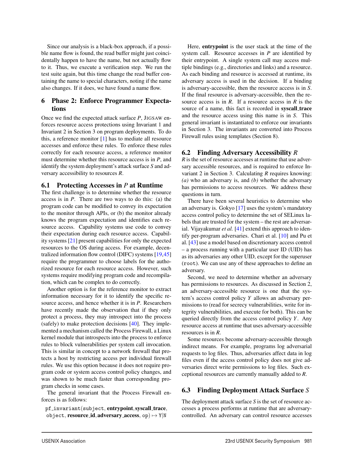Since our analysis is a black-box approach, if a possible name flow is found, the read buffer might just coincidentally happen to have the name, but not actually flow to it. Thus, we execute a verification step. We run the test suite again, but this time change the read buffer containing the name to special characters, noting if the name also changes. If it does, we have found a name flow.

#### 6 Phase 2: Enforce Programmer Expectations

Once we find the expected attack surface *P*, JIGSAW enforces resource access protections using Invariant 1 and Invariant 2 in Section 3 on program deployments. To do this, a reference monitor [1] has to mediate all resource accesses and enforce these rules. To enforce these rules correctly for each resource access, a reference monitor must determine whether this resource access is in *P*, and identify the system deployment's attack surface *S* and adversary accessibility to resources *R*.

#### 6.1 Protecting Accesses in *P* at Runtime

The first challenge is to determine whether the resource access is in *P*. There are two ways to do this: (a) the program code can be modified to convey its expectation to the monitor through APIs, or (b) the monitor already knows the program expectation and identifies each resource access. Capability systems use code to convey their expectation during each resource access. Capability systems [21] present capabilities for only the expected resources to the OS during access. For example, decentralized information flow control (DIFC) systems [19,45] require the programmer to choose labels for the authorized resource for each resource access. However, such systems require modifying program code and recompilation, which can be complex to do correctly.

Another option is for the reference monitor to extract information necessary for it to identify the specific resource access, and hence whether it is in *P*. Researchers have recently made the observation that if they only protect a process, they may introspect into the process (safely) to make protection decisions [40]. They implemented a mechanism called the Process Firewall, a Linux kernel module that introspects into the process to enforce rules to block vulnerabilities per system call invocation. This is similar in concept to a network firewall that protects a host by restricting access per individual firewall rules. We use this option because it does not require program code or system access control policy changes, and was shown to be much faster than corresponding program checks in some cases.

The general invariant that the Process Firewall enforces is as follows:

pf invariant(subject, entrypoint,syscall trace, object, resource id, adversary access, op)  $\mapsto$  Y|N

Here, entrypoint is the user stack at the time of the system call. Resource accesses in *P* are identified by their entrypoint. A single system call may access multiple bindings (e.g., directories and links) and a resource. As each binding and resource is accessed at runtime, its adversary access is used in the decision. If a binding is adversary-accessible, then the resource access is in *S*. If the final resource is adversary-accessible, then the resource access is in *R*. If a resource access in *R* is the source of a name, this fact is recorded in syscall\_trace and the resource access using this name is in *S*. This general invariant is instantiated to enforce our invariants in Section 3. The invariants are converted into Process Firewall rules using templates (Section 8).

#### 6.2 Finding Adversary Accessibility *R*

*R* is the set of resource accesses at runtime that use adversary accessible resources, and is required to enforce Invariant 2 in Section 3. Calculating *R* requires knowing: *(a)* who an adversary is, and *(b)* whether the adversary has permissions to access resources. We address these questions in turn.

There have been several heuristics to determine who an adversary is. Gokyo [17] uses the system's mandatory access control policy to determine the set of SELinux labels that are trusted for the system – the rest are adversarial. Vijayakumar *et al.* [41] extend this approach to identify per-program adversaries. Chari et al. [10] and Pu et al. [43] use a model based on discretionary access control – a process running with a particular user ID (UID) has as its adversaries any other UID, except for the superuser (root). We can use any of these approaches to define an adversary.

Second, we need to determine whether an adversary has permissions to resources. As discussed in Section 2, an adversary-accessible resource is one that the system's access control policy *Y* allows an adversary permissions to (read for secrecy vulnerabilities, write for integrity vulnerabilities, and execute for both). This can be queried directly from the access control policy *Y*. Any resource access at runtime that uses adversary-accessible resources is in *R*.

Some resources become adversary-accessible through indirect means. For example, programs log adversarial requests to log files. Thus, adversaries affect data in log files even if the access control policy does not give adversaries direct write permissions to log files. Such exceptional resources are currently manually added to *R*.

## 6.3 Finding Deployment Attack Surface *S*

The deployment attack surface *S* is the set of resource accesses a process performs at runtime that are adversarycontrolled. An adversary can control resource accesses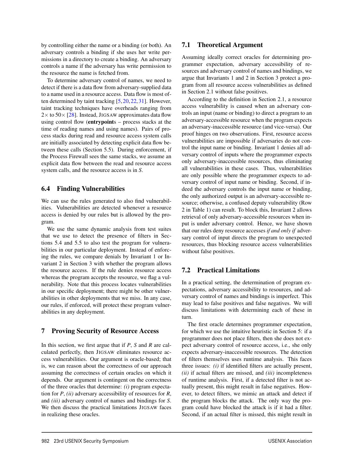by controlling either the name or a binding (or both). An adversary controls a binding if she uses her write permissions in a directory to create a binding. An adversary controls a name if the adversary has write permission to the resource the name is fetched from.

To determine adversary control of names, we need to detect if there is a data flow from adversary-supplied data to a name used in a resource access. Data flow is most often determined by taint tracking [5,20,22,31]. However, taint tracking techniques have overheads ranging from  $2 \times$  to 50 $\times$  [28]. Instead, JIGSAW approximates data flow using control flow (entrypoints – process stacks at the time of reading names and using names). Pairs of process stacks during read and resource access system calls are initially associated by detecting explicit data flow between these calls (Section 5.5). During enforcement, if the Process Firewall sees the same stacks, we assume an explicit data flow between the read and resource access system calls, and the resource access is in *S*.

## 6.4 Finding Vulnerabilities

We can use the rules generated to also find vulnerabilities. Vulnerabilities are detected whenever a resource access is denied by our rules but is allowed by the program.

We use the same dynamic analysis from test suites that we use to detect the presence of filters in Sections 5.4 and 5.5 to also test the program for vulnerabilities in our particular deployment. Instead of enforcing the rules, we compare denials by Invariant 1 or Invariant 2 in Section 3 with whether the program allows the resource access. If the rule denies resource access whereas the program accepts the resource, we flag a vulnerability. Note that this process locates vulnerabilities in our specific deployment; there might be other vulnerabilities in other deployments that we miss. In any case, our rules, if enforced, will protect these program vulnerabilities in any deployment.

## 7 Proving Security of Resource Access

In this section, we first argue that if *P*, *S* and *R* are calculated perfectly, then JIGSAW eliminates resource access vulnerabilities. Our argument is oracle-based; that is, we can reason about the correctness of our approach assuming the correctness of certain oracles on which it depends. Our argument is contingent on the correctness of the three oracles that determine: *(i)* program expectation for *P*, *(ii)* adversary accessibility of resources for *R*, and *(iii)* adversary control of names and bindings for *S*. We then discuss the practical limitations JIGSAW faces in realizing these oracles.

#### 7.1 Theoretical Argument

Assuming ideally correct oracles for determining programmer expectation, adversary accessibility of resources and adversary control of names and bindings, we argue that Invariants 1 and 2 in Section 3 protect a program from all resource access vulnerabilities as defined in Section 2.1 without false positives.

According to the definition in Section 2.1, a resource access vulnerability is caused when an adversary controls an input (name or binding) to direct a program to an adversary-accessible resource when the program expects an adversary-inaccessible resource (and vice-versa). Our proof hinges on two observations. First, resource access vulnerabilities are impossible if adversaries do not control the input name or binding. Invariant 1 denies all adversary control of inputs where the programmer expects only adversary-inaccessible resources, thus eliminating all vulnerabilities in these cases. Thus, vulnerabilities are only possible where the programmer expects to adversary control of input name or binding. Second, if indeed the adversary controls the input name or binding, the only authorized output is an adversary-accessible resource; otherwise, a confused deputy vulnerability (Row 2 in Table 1) can result. To block this, Invariant 2 allows retrieval of only adversary-accessible resources when input is under adversary control. Hence, we have shown that our rules deny resource accesses *if and only if* adversary control of input directs the program to unexpected resources, thus blocking resource access vulnerabilities without false positives.

## 7.2 Practical Limitations

In a practical setting, the determination of program expectations, adversary accessibility to resources, and adversary control of names and bindings is imperfect. This may lead to false positives and false negatives. We will discuss limitations with determining each of these in turn.

The first oracle determines programmer expectation, for which we use the intuitive heuristic in Section 5: if a programmer does not place filters, then she does not expect adversary control of resource access, i.e., she only expects adversary-inaccessible resources. The detection of filters themselves uses runtime analysis. This faces three issues: *(i)* if identified filters are actually present, *(ii)* if actual filters are missed, and *(iii)* incompleteness of runtime analysis. First, if a detected filter is not actually present, this might result in false negatives. However, to detect filters, we mimic an attack and detect if the program blocks the attack. The only way the program could have blocked the attack is if it had a filter. Second, if an actual filter is missed, this might result in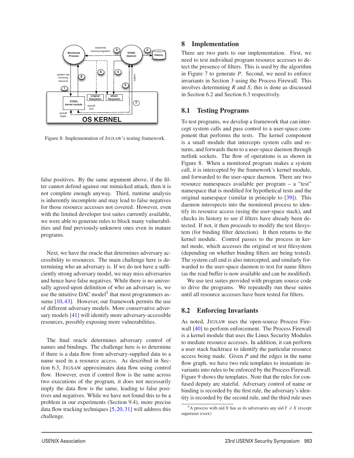

Figure 8: Implementation of JIGSAW's testing framework.

false positives. By the same argument above, if the filter cannot defend against our mimicked attack, then it is not complete enough anyway. Third, runtime analysis is inherently incomplete and may lead to false negatives for those resource accesses not covered. However, even with the limited developer test suites currently available, we were able to generate rules to block many vulnerabilities and find previously-unknown ones even in mature programs.

Next, we have the oracle that determines adversary accessibility to resources. The main challenge here is determining who an adversary is. If we do not have a sufficiently strong adversary model, we may miss adversaries and hence have false negatives. While there is no universally agreed-upon definition of who an adversary is, we use the intuitive DAC model<sup>5</sup> that most programmers assume [10, 43]. However, our framework permits the use of different adversary models. More conservative adversary models [41] will identify more adversary-accessible resources, possibly exposing more vulnerabilities.

The final oracle determines adversary control of names and bindings. The challenge here is to determine if there is a data flow from adversary-supplied data to a name used in a resource access. As described in Section 6.3, JIGSAW approximates data flow using control flow. However, even if control flow is the same across two executions of the program, it does not necessarily imply the data flow is the same, leading to false positives and negatives. While we have not found this to be a problem in our experiments (Section 9.4), more precise data flow tracking techniques [5,20,31] will address this challenge.

#### 8 Implementation

There are two parts to our implementation. First, we need to test individual program resource accesses to detect the presence of filters. This is used by the algorithm in Figure 7 to generate *P*. Second, we need to enforce invariants in Section 3 using the Process Firewall. This involves determining *R* and *S*; this is done as discussed in Section 6.2 and Section 6.3 respectively.

#### 8.1 Testing Programs

To test programs, we develop a framework that can intercept system calls and pass control to a user-space component that performs the tests. The kernel component is a small module that intercepts system calls and returns, and forwards them to a user-space daemon through netlink sockets. The flow of operations is as shown in Figure 8. When a monitored program makes a system call, it is intercepted by the framework's kernel module, and forwarded to the user-space daemon. There are two resource namespaces available per program – a "test" namespace that is modified for hypothetical tests and the original namespace (similar in principle to [39]). This daemon introspects into the monitored process to identify its resource access (using the user-space stack), and checks its history to see if filters have already been detected. If not, it then proceeds to modify the test filesystem (for binding filter detection). It then returns to the kernel module. Control passes to the process in kernel mode, which accesses the original or test filesystem (depending on whether binding filters are being tested). The system call end is also intercepted, and similarly forwarded to the user-space daemon to test for name filters (as the read buffer is now available and can be modified).

We use test suites provided with program source code to drive the programs. We repeatedly run these suites until all resource accesses have been tested for filters.

#### 8.2 Enforcing Invariants

As noted, JIGSAW uses the open-source Process Firewall [40] to perform enforcement. The Process Firewall is a kernel module that uses the Linux Security Modules to mediate resource accesses. In addition, it can perform a user stack backtrace to identify the particular resource access being made. Given *P* and the edges in the name flow graph, we have two rule templates to instantiate invariants into rules to be enforced by the Process Firewall. Figure 9 shows the templates. Note that the rules for confused deputy are stateful. Adversary control of name or binding is recorded by the first rule, the adversary's identity is recorded by the second rule, and the third rule uses

<sup>&</sup>lt;sup>5</sup>A process with uid *X* has as its adversaries any uid  $Y \neq X$  (except superuser root)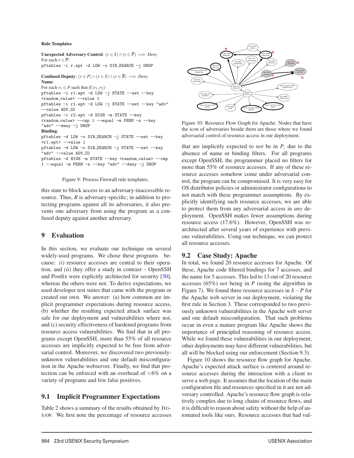#### Rule Templates

```
Unexpected Adversary Control: (r ∈ S)∧(r ∈ P) =⇒ Deny
For each r \in \overline{P}.
pftables -i r.ept -d LOW -o DIR SEARCH -j DROP
Confused Deputy: (r \in P) \land (r \in S) \land (r \in \overline{R}) \implies Deny
Name:
For each r_1 \in P such that E(r_1, r_2):
pftables -i r1.ept -d LOW -j STATE --set --key
<random value> --value 1
pftables -i r1.ept -d LOW -j STATE --set --key "adv"
 --value ADV_ID
pftables -i r2.ept -d HIGH -m STATE --key
<random value> --cmp 1 --equal -m PERM -s --key
"adv" --deny -j DROP
Binding:
pftables -d LOW -o DIR SEARCH -j STATE --set --key
\langler1.ept> \sim-value 1
pftables -d LOW -o DIR SEARCH -j STATE --set --key
"adv" --value ADV_ID
pftables -d HIGH -m STATE --key <random_value> --cmp
1 --equal -m PERM -s --key "adv" --deny -j DROP
```


this state to block access to an adversary-inaccessible resource. Thus, *R* is adversary-specific; in addition to protecting programs against all its adversaries, it also prevents one adversary from using the program as a confused deputy against another adversary.

## 9 Evaluation

In this section, we evaluate our technique on several widely-used programs. We chose these programs because: *(i)* resource accesses are central to their operation, and *(ii)* they offer a study in contrast – OpenSSH and Postfix were explicitly architected for security [30], whereas the others were not. To derive expectations, we used developer test suites that came with the program or created our own. We answer: (a) how common are implicit programmer expectations during resource access, (b) whether the resulting expected attack surface was safe for our deployment and vulnerabilities where not, and (c) security effectiveness of hardened programs from resource access vulnerabilities. We find that in all programs except OpenSSH, more than 55% of all resource accesses are implicitly expected to be free from adversarial control. Moreover, we discovered two previouslyunknown vulnerabilities and one default misconfiguration in the Apache webserver. Finally, we find that protection can be enforced with an overhead of <6% on a variety of programs and few false positives.

## 9.1 Implicit Programmer Expectations

Table 2 shows a summary of the results obtained by JIG-SAW. We first note the percentage of resource accesses



Figure 10: Resource Flow Graph for Apache. Nodes that have the icon of adversaries beside them are those where we found adversarial control of resource access in our deployment.

that are implicitly expected to *not* be in *P*, due to the absence of name or binding filters. For all programs except OpenSSH, the programmer placed no filters for more than 55% of resource accesses. If any of these resource accesses somehow come under adversarial control, the program can be compromised. It is very easy for OS distributor policies or administrator configurations to not match with these programmer assumptions. By explicitly identifying such resource accesses, we are able to protect them from any adversarial access in *any* deployment. OpenSSH makes fewer assumptions during resource access (17.6%). However, OpenSSH was rearchitected after several years of experience with previous vulnerabilities. Using our technique, we can protect all resource accesses.

## 9.2 Case Study: Apache

In total, we found 20 resource accesses for Apache. Of these, Apache code filtered bindings for 7 accesses, and the name for 5 accesses. This led to 13 out of 20 resource accesses (65%) *not* being in *P* (using the algorithm in Figure 7). We found three resource accesses in *S*−*P* for the Apache web server in our deployment, violating the first rule in Section 3. These corresponded to two previously unknown vulnerabilities in the Apache web server and one default misconfiguration. That such problems occur in even a mature program like Apache shows the importance of principled reasoning of resource access. While we found these vulnerabilities in our deployment, other deployments may have different vulnerabilities, but all will be blocked using our enforcement (Section 9.3).

Figure 10 shows the resource flow graph for Apache. Apache's expected attack surface is centered around resource accesses during the interaction with a client to serve a web page. It assumes that the location of the main configuration file and resources specified in it are not adversary controlled. Apache's resource flow graph is relatively complex due to long chains of resource flows, and it is difficult to reason about safety without the help of automated tools like ours. Resource accesses that had vul-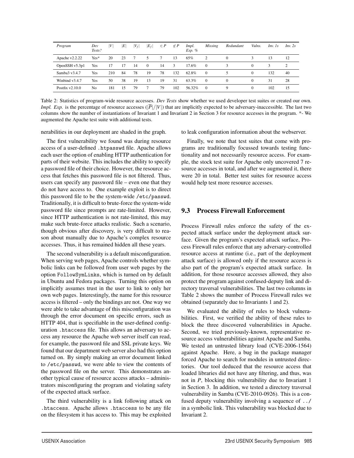| Program           | Dev<br>Tests?  | V   | ΙE | $ V_f $ | $ E_f $  | $\in P$ | $\not\in P$ | Impl.<br>$Exp.$ % | <b>Missing</b> | Redundant | Vulns.   | $Inv.$ 1s | Inv. 2s                     |
|-------------------|----------------|-----|----|---------|----------|---------|-------------|-------------------|----------------|-----------|----------|-----------|-----------------------------|
| Apache $v2.2.22$  | $Yes*$         | 20  | 23 |         | 5        |         | 13          | 65%               | 2              |           | 3        | 13        | 12                          |
| OpenSSH v5.3p1    | Yes            | 17  |    | 14      | $\Omega$ | 14      | 3           | 17.6%             | $\Omega$       |           | $\Omega$ | 3         | $\mathcal{D}_{\mathcal{A}}$ |
| Samba3 v3.4.7     | Yes            | 210 | 84 | 78      | 19       | 78      | 132         | 62.8%             | $\theta$       |           | $\Omega$ | 132       | 40                          |
| Winbind v3.4.7    | Yes            | 50  | 38 | 19      | 13       | 19      | 31          | 63.3%             | $\Omega$       | $\Omega$  | 0        | 31        | 28                          |
| Postfix $v2.10.0$ | N <sub>0</sub> | 181 | 15 | 79      |          | 79      | 102         | 56.32%            | $\Omega$       | 9         | 0        | 102       | 15                          |

Table 2: Statistics of program-wide resource accesses. *Dev Tests* show whether we used developer test suites or created our own. *Impl. Exp.* is the percentage of resource accesses ( $|\overline{P}|/|V|$ ) that are implicitly expected to be adversary-inaccessible. The last two columns show the number of instantiations of Invariant 1 and Invariant 2 in Section 3 for resource accesses in the program. \*- We augmented the Apache test suite with additional tests.

nerabilities in our deployment are shaded in the graph.

The first vulnerability we found was during resource access of a user-defined .htpasswd file. Apache allows each user the option of enabling HTTP authentication for parts of their website. This includes the ability to specify a password file of their choice. However, the resource access that fetches this password file is not filtered. Thus, users can specify any password file – even one that they do not have access to. One example exploit is to direct this password file to be the system-wide /etc/passwd. Traditionally, it is difficult to brute-force the system-wide password file since prompts are rate-limited. However, since HTTP authentication is not rate-limited, this may make such brute-force attacks realistic. Such a scenario, though obvious after discovery, is very difficult to reason about manually due to Apache's complex resource accesses. Thus, it has remained hidden all these years.

The second vulnerability is a default misconfiguration. When serving web pages, Apache controls whether symbolic links can be followed from user web pages by the option FollowSymLinks, which is turned on by default in Ubuntu and Fedora packages. Turning this option on implicitly assumes trust in the user to link to only her own web pages. Interestingly, the name for this resource access is filtered – only the bindings are not. One way we were able to take advantage of this misconfiguration was through the error document on specific errors, such as HTTP 404, that is specifiable in the user-defined configuration .htaccess file. This allows an adversary to access any resource the Apache web server itself can read, for example, the password file and SSL private keys. We found that our department web server also had this option turned on. By simply making an error document linked to /etc/passwd, we were able to view the contents of the password file on the server. This demonstrates another typical cause of resource access attacks – administrators misconfiguring the program and violating safety of the expected attack surface.

The third vulnerability is a link following attack on .htaccess. Apache allows .htaccess to be any file on the filesystem it has access to. This may be exploited to leak configuration information about the webserver.

Finally, we note that test suites that come with programs are traditionally focussed towards testing functionality and not necessarily resource access. For example, the stock test suite for Apache only uncovered 7 resource accesses in total, and after we augmented it, there were 20 in total. Better test suites for resource access would help test more resource accesses.

## 9.3 Process Firewall Enforcement

Process Firewall rules enforce the safety of the expected attack surface under the deployment attack surface. Given the program's expected attack surface, Process Firewall rules enforce that any adversary-controlled resource access at runtime (i.e., part of the deployment attack surface) is allowed only if the resource access is also part of the program's expected attack surface. In addition, for those resource accesses allowed, they also protect the program against confused-deputy link and directory traversal vulnerabilities. The last two columns in Table 2 shows the number of Process Firewall rules we obtained (separately due to Invariants 1 and 2).

We evaluated the ability of rules to block vulnerabilities. First, we verified the ability of these rules to block the three discovered vulnerabilities in Apache. Second, we tried previously-known, representative resource access vulnerabilities against Apache and Samba. We tested an untrusted library load (CVE-2006-1564) against Apache. Here, a bug in the package manager forced Apache to search for modules in untrusted directories. Our tool deduced that the resource access that loaded libraries did not have any filtering, and thus, was not in *P*, blocking this vulnerability due to Invariant 1 in Section 3. In addition, we tested a directory traversal vulnerability in Samba (CVE-2010-0926). This is a confused deputy vulnerability involving a sequence of ../ in a symbolic link. This vulnerability was blocked due to Invariant 2.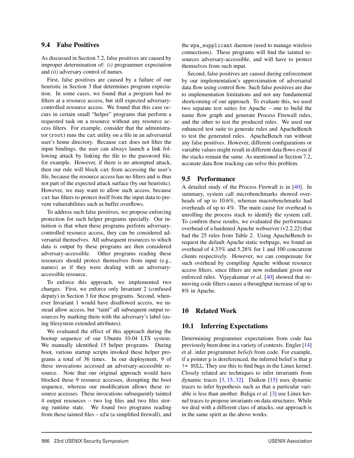#### 9.4 False Positives

As discussed in Section 7.2, false positives are caused by improper determination of: *(i)* programmer expectation and *(ii)* adversary control of names.

First, false positives are caused by a failure of our heuristic in Section 3 that determines program expectation. In some cases, we found that a program had no filters at a resource access, but still expected adversarycontrolled resource access. We found that this case occurs in certain small "helper" programs that perform a requested task on a resource without any resource access filters. For example, consider that the administrator (root) runs the cat utility on a file in an adversarial user's home directory. Because cat does not filter the input bindings, the user can always launch a link following attack by linking the file to the password file, for example. However, if there is no attempted attack, then our rule will block cat from accessing the user's file, because the resource access has no filters and is thus not part of the expected attack surface (by our heuristic). However, we may want to allow such access, because cat has filters to protect itself from the input data to prevent vulnerabilities such as buffer overflows.

To address such false positives, we propose enforcing protection for such helper programs specially. Our intuition is that when these programs perform adversarycontrolled resource access, they can be considered adversarial themselves. All subsequent resources to which data is output by these programs are then considered adversary-accessible. Other programs reading these resources should protect themselves from input (e.g., names) as if they were dealing with an adversaryaccessible resource.

To enforce this approach, we implemented two changes. First, we enforce only Invariant 2 (confused deputy) in Section 3 for these programs. Second, whenever Invariant 1 would have disallowed access, we instead allow access, but "taint" all subsequent output resources by marking them with the adversary's label (using filesystem extended attributes).

We evaluated the effect of this approach during the bootup sequence of our Ubuntu 10.04 LTS system. We manually identified 15 helper programs. During boot, various startup scripts invoked these helper programs a total of 36 times. In our deployment, 9 of these invocations accessed an adversary-accessible resource. Note that our original approach would have blocked these 9 resource accesses, disrupting the boot sequence, whereas our modification allows these resource accesses. These invocations subsequently tainted 4 output resources – two log files and two files storing runtime state. We found two programs reading from these tainted files – ufw (a simplified firewall), and the wpa\_supplicant daemon (used to manage wireless connections). These programs will find the tainted resources adversary-accessible, and will have to protect themselves from such input.

Second, false positives are caused during enforcement by our implementation's approximation of adversarial data flow using control flow. Such false positives are due to implementation limitations and not any fundamental shortcoming of our approach. To evaluate this, we used two separate test suites for Apache – one to build the name flow graph and generate Process Firewall rules, and the other to test the produced rules. We used our enhanced test suite to generate rules and ApacheBench to test the generated rules. ApacheBench ran without any false positives. However, different configurations or variable values might result in different data flows even if the stacks remain the same. As mentioned in Section 7.2, accurate data flow tracking can solve this problem.

## 9.5 Performance

A detailed study of the Process Firewall is in [40]. In summary, system call microbenchmarks showed overheads of up to 10.6%, whereas macrobenchmarks had overheads of up to 4%. The main cause for overhead is unrolling the process stack to identify the system call. To confirm these results, we evaluated the performance overhead of a hardened Apache webserver (v2.2.22) that had the 25 rules from Table 2. Using ApacheBench to request the default Apache static webpage, we found an overhead of 4.33% and 5.28% for 1 and 100 concurrent clients respectively. However, we can compensate for such overhead by compiling Apache without resource access filters, since filters are now redundant given our enforced rules. Vijayakumar *et al.* [40] showed that removing code filters causes a throughput increase of up to 8% in Apache.

## 10 Related Work

## 10.1 Inferring Expectations

Determining programmer expectations from code has previously been done in a variety of contexts. Engler [14] et al. infer programmer *beliefs* from code. For example, if a pointer p is dereferenced, the inferred belief is that p != NULL. They use this to find bugs in the Linux kernel. Closely related are techniques to infer invariants from dynamic traces [3, 15, 32]. Daikon [15] uses dynamic traces to infer hypothesis such as that a particular variable is less than another. Baliga *et al.* [3] use Linux kernel traces to propose invariants on data structures. While we deal with a different class of attacks, our approach is in the same spirit as the above works.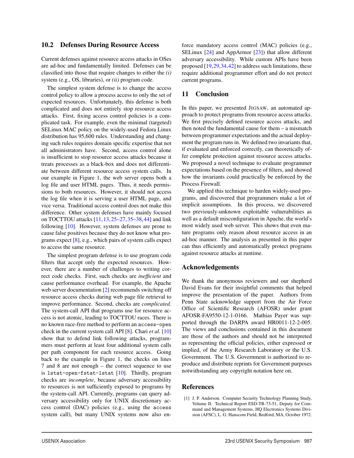#### 10.2 Defenses During Resource Access

Current defenses against resource access attacks in OSes are ad-hoc and fundamentally limited. Defenses can be classified into those that require changes to either the *(i)* system (e.g., OS, libraries), or *(ii)* program code.

The simplest system defense is to change the access control policy to allow a process access to only the set of expected resources. Unfortunately, this defense is both complicated and does not entirely stop resource access attacks. First, fixing access control policies is a complicated task. For example, even the minimal (targeted) SELinux MAC policy on the widely-used Fedora Linux distribution has 95,600 rules. Understanding and changing such rules requires domain specific expertise that not all administrators have. Second, access control alone is insufficient to stop resource access attacks because it treats processes as a black-box and does not differentiate between different resource access system calls. In our example in Figure 1, the web server opens both a log file and user HTML pages. Thus, it needs permissions to both resources. However, it should not access the log file when it is serving a user HTML page, and vice versa. Traditional access control does not make this difference. Other system defenses have mainly focused on TOCTTOU attacks [11,13,25–27,35–38,44] and link following [10]. However, system defenses are prone to cause false positives because they do not know what programs expect [8], e.g., which pairs of system calls expect to access the same resource.

The simplest program defense is to use program code filters that accept only the expected resources. However, there are a number of challenges to writing correct code checks. First, such checks are *inefficient* and cause performance overhead. For example, the Apache web server documentation [2] recommends switching off resource access checks during web page file retrieval to improve performance. Second, checks are *complicated*. The system-call API that programs use for resource access is not atomic, leading to TOCTTOU races. There is no known race-free method to perform an access-open check in the current system call API [8]. Chari *et al.* [10] show that to defend link following attacks, programmers must perform at least four additional system calls per path component for each resource access. Going back to the example in Figure 1, the checks on lines 7 and 8 are not enough – the correct sequence to use is lstat-open-fstat-lstat [10]. Thirdly, program checks are *incomplete*, because adversary accessibility to resources is not sufficiently exposed to programs by the system-call API. Currently, programs can query adversary accessibility only for UNIX discretionary access control (DAC) policies (e.g., using the access system call), but many UNIX systems now also enforce mandatory access control (MAC) policies (e.g., SELinux [24] and AppArmor [23]) that allow different adversary accessibility. While custom APIs have been proposed [19,29,34,42] to address such limitations, these require additional programmer effort and do not protect current programs.

#### 11 Conclusion

In this paper, we presented JIGSAW, an automated approach to protect programs from resource access attacks. We first precisely defined resource access attacks, and then noted the fundamental cause for them – a mismatch between programmer expectations and the actual deployment the program runs in. We defined two invariants that, if evaluated and enforced correctly, can theoretically offer complete protection against resource access attacks. We proposed a novel technique to evaluate programmer expectations based on the presence of filters, and showed how the invariants could practically be enforced by the Process Firewall.

We applied this technique to harden widely-used programs, and discovered that programmers make a lot of implicit assumptions. In this process, we discovered two previously-unknown exploitable vulnerabilities as well as a default misconfiguration in Apache, the world's most widely used web server. This shows that even mature programs only reason about resource access in an ad-hoc manner. The analysis as presented in this paper can thus efficiently and automatically protect programs against resource attacks at runtime.

#### Acknowledgements

We thank the anonymous reviewers and our shepherd David Evans for their insightful comments that helped improve the presentation of the paper. Authors from Penn State acknowledge support from the Air Force Office of Scientific Research (AFOSR) under grant AFOSR-FA9550-12-1-0166. Mathias Payer was supported through the DARPA award HR0011-12-2-005. The views and conclusions contained in this document are those of the authors and should not be interpreted as representing the official policies, either expressed or implied, of the Army Research Laboratory or the U.S. Government. The U.S. Government is authorized to reproduce and distribute reprints for Government purposes notwithstanding any copyright notation here on.

#### **References**

[1] J. P. Anderson. Computer Security Technology Planning Study, Volume II. Technical Report ESD-TR-73-51, Deputy for Command and Management Systems, HQ Electronics Systems Division (AFSC), L. G. Hanscom Field, Bedford, MA, October 1972.